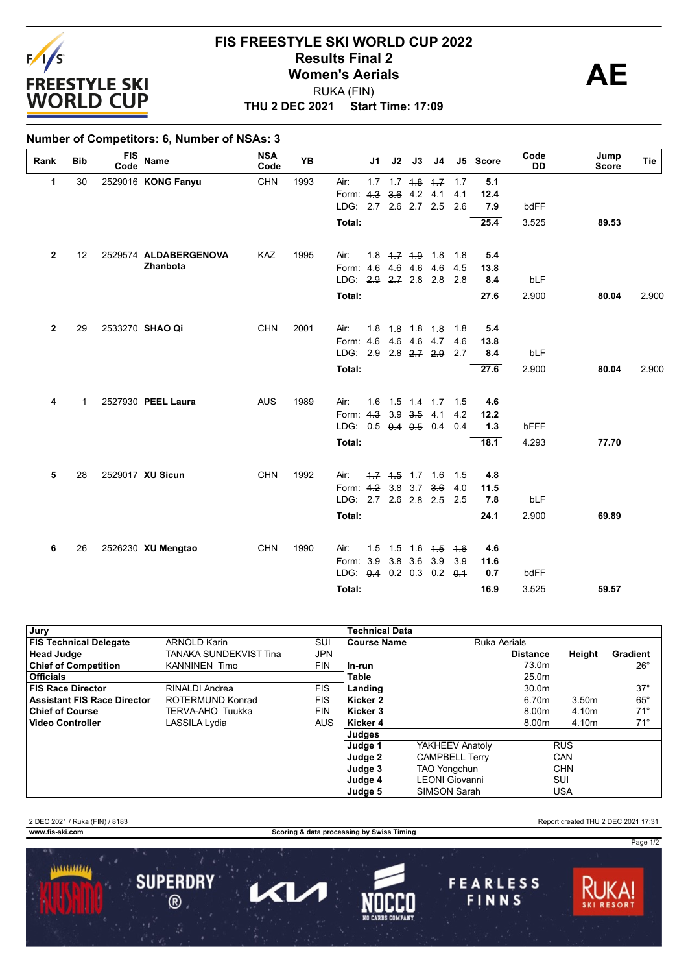

## **THU 2 DEC 2021 Start Time: 17:09 FIS FREESTYLE SKI WORLD CUP 2022 Results Final 2**<br> **Women's Aerials**<br>
PUKA (FIN) RUKA (FIN)

### **Number of Competitors: 6, Number of NSAs: 3**

| Rank           | <b>Bib</b>  | <b>FIS</b><br>Code | <b>Name</b>           | <b>NSA</b><br>Code | <b>YB</b> |                          | J1. | J2 | J3                      | J4                            |             | J5 Score | Code<br><b>DD</b> | Jump<br><b>Score</b> | Tie   |
|----------------|-------------|--------------------|-----------------------|--------------------|-----------|--------------------------|-----|----|-------------------------|-------------------------------|-------------|----------|-------------------|----------------------|-------|
| 1              | 30          |                    | 2529016 KONG Fanyu    | <b>CHN</b>         | 1993      | Air:                     |     |    |                         | $1.7$ $1.7$ $1.8$ $1.7$ $1.7$ |             | 5.1      |                   |                      |       |
|                |             |                    |                       |                    |           | Form: 4.3 3.6 4.2 4.1    |     |    |                         |                               | 4.1         | 12.4     |                   |                      |       |
|                |             |                    |                       |                    |           | LDG: 2.7 2.6 2.7 2.5     |     |    |                         |                               | 2.6         | 7.9      | bdFF              |                      |       |
|                |             |                    |                       |                    |           | Total:                   |     |    |                         |                               |             | 25.4     | 3.525             | 89.53                |       |
| $\overline{2}$ | 12          |                    | 2529574 ALDABERGENOVA | KAZ                | 1995      | Air:                     |     |    | $1.8$ $4.7$ $4.9$ $1.8$ |                               | 1.8         | 5.4      |                   |                      |       |
|                |             |                    | Zhanbota              |                    |           | Form: 4.6 4.6 4.6        |     |    |                         | 4.6                           | 4.5         | 13.8     |                   |                      |       |
|                |             |                    |                       |                    |           | LDG: 2.9 2.7 2.8         |     |    |                         | 2.8                           | 2.8         | 8.4      | bLF               |                      |       |
|                |             |                    |                       |                    |           | Total:                   |     |    |                         |                               |             | 27.6     | 2.900             | 80.04                | 2.900 |
| $\mathbf{2}$   | 29          |                    | 2533270 SHAO Qi       | <b>CHN</b>         | 2001      | Air:                     |     |    | $1.8$ $4.8$ $1.8$ $4.8$ |                               | 1.8         | 5.4      |                   |                      |       |
|                |             |                    |                       |                    |           | Form: 4.6 4.6 4.6 4.7    |     |    |                         |                               | 4.6         | 13.8     |                   |                      |       |
|                |             |                    |                       |                    |           | LDG: 2.9 2.8 2.7 2.9     |     |    |                         |                               | 2.7         | 8.4      | bLF               |                      |       |
|                |             |                    |                       |                    |           | Total:                   |     |    |                         |                               |             | 27.6     | 2.900             | 80.04                | 2.900 |
| 4              | $\mathbf 1$ |                    | 2527930 PEEL Laura    | <b>AUS</b>         | 1989      | Air:                     | 1.6 |    | $1.5$ $1.4$ $1.7$       |                               | 1.5         | 4.6      |                   |                      |       |
|                |             |                    |                       |                    |           | Form: 4.3 3.9 3.5 4.1    |     |    |                         |                               | 4.2         | 12.2     |                   |                      |       |
|                |             |                    |                       |                    |           | LDG: 0.5 0.4 0.5 0.4     |     |    |                         |                               | 0.4         | 1.3      | bFFF              |                      |       |
|                |             |                    |                       |                    |           | Total:                   |     |    |                         |                               |             | 18.1     | 4.293             | 77.70                |       |
| 5              | 28          |                    | 2529017 XU Sicun      | <b>CHN</b>         | 1992      | Air:                     |     |    | $1.7$ $1.5$ $1.7$ $1.6$ |                               | 1.5         | 4.8      |                   |                      |       |
|                |             |                    |                       |                    |           | Form: 4.2 3.8 3.7 3.6    |     |    |                         |                               | 4.0         | 11.5     |                   |                      |       |
|                |             |                    |                       |                    |           | LDG: 2.7 2.6 2.8 2.5 2.5 |     |    |                         |                               |             | 7.8      | bLF               |                      |       |
|                |             |                    |                       |                    |           | Total:                   |     |    |                         |                               |             | 24.1     | 2.900             | 69.89                |       |
| 6              | 26          |                    | 2526230 XU Mengtao    | <b>CHN</b>         | 1990      | Air:                     |     |    |                         | $1.5$ 1.5 1.6 $4.5$           | $+6$        | 4.6      |                   |                      |       |
|                |             |                    |                       |                    |           | Form: 3.9 3.8 3.6 3.9    |     |    |                         |                               | 3.9         | 11.6     |                   |                      |       |
|                |             |                    |                       |                    |           | LDG: 0.4 0.2 0.3 0.2     |     |    |                         |                               | $\theta$ .1 | 0.7      | bdFF              |                      |       |
|                |             |                    |                       |                    |           | Total:                   |     |    |                         |                               |             | 16.9     | 3.525             | 59.57                |       |

| Jury                               |                        |            | Technical Data     |                       |                   |            |                 |
|------------------------------------|------------------------|------------|--------------------|-----------------------|-------------------|------------|-----------------|
| <b>FIS Technical Delegate</b>      | <b>ARNOLD Karin</b>    | SUI        | <b>Course Name</b> | <b>Ruka Aerials</b>   |                   |            |                 |
| <b>Head Judge</b>                  | TANAKA SUNDEKVIST Tina | JPN        |                    |                       | <b>Distance</b>   | Height     | <b>Gradient</b> |
| <b>Chief of Competition</b>        | <b>KANNINEN Timo</b>   | <b>FIN</b> | ln-run             |                       | 73.0m             |            | $26^{\circ}$    |
| <b>Officials</b>                   |                        |            | Table              |                       | 25.0 <sub>m</sub> |            |                 |
| <b>FIS Race Director</b>           | RINALDI Andrea         | <b>FIS</b> | Landing            |                       | 30.0m             |            | $37^\circ$      |
| <b>Assistant FIS Race Director</b> | ROTERMUND Konrad       | <b>FIS</b> | Kicker 2           |                       | 6.70m             | 3.50m      | $65^{\circ}$    |
| <b>Chief of Course</b>             | TERVA-AHO Tuukka       | <b>FIN</b> | Kicker 3           |                       | 8.00m             | 4.10m      | $71^{\circ}$    |
| <b>Video Controller</b>            | LASSILA Lydia          | <b>AUS</b> | Kicker 4           |                       | 8.00m             | 4.10m      | $71^\circ$      |
|                                    |                        |            | Judges             |                       |                   |            |                 |
|                                    |                        |            | Judge 1            | YAKHEEV Anatoly       |                   | <b>RUS</b> |                 |
|                                    |                        |            | Judge 2            | <b>CAMPBELL Terry</b> |                   | CAN        |                 |
|                                    |                        |            | Judge 3            | <b>TAO Yongchun</b>   |                   | <b>CHN</b> |                 |
|                                    |                        |            | Judge 4            | LEONI Giovanni        |                   | SUI        |                 |
|                                    |                        |            | Judge 5            | <b>SIMSON Sarah</b>   |                   | <b>USA</b> |                 |

2 DEC 2021 / Ruka (FIN) / 8183 Report created THU 2 DEC 2021 17:31